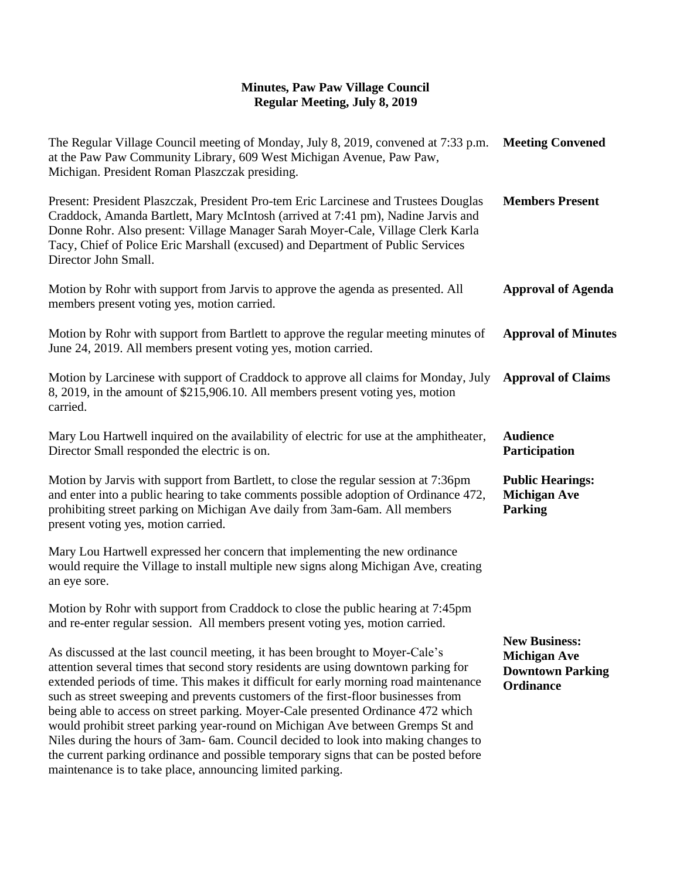## **Minutes, Paw Paw Village Council Regular Meeting, July 8, 2019**

| <b>Meeting Convened</b>                                                                    |
|--------------------------------------------------------------------------------------------|
| <b>Members Present</b>                                                                     |
| <b>Approval of Agenda</b>                                                                  |
| <b>Approval of Minutes</b>                                                                 |
| <b>Approval of Claims</b>                                                                  |
| <b>Audience</b><br>Participation                                                           |
| <b>Public Hearings:</b><br><b>Michigan Ave</b><br><b>Parking</b>                           |
|                                                                                            |
|                                                                                            |
| <b>New Business:</b><br><b>Michigan Ave</b><br><b>Downtown Parking</b><br><b>Ordinance</b> |
|                                                                                            |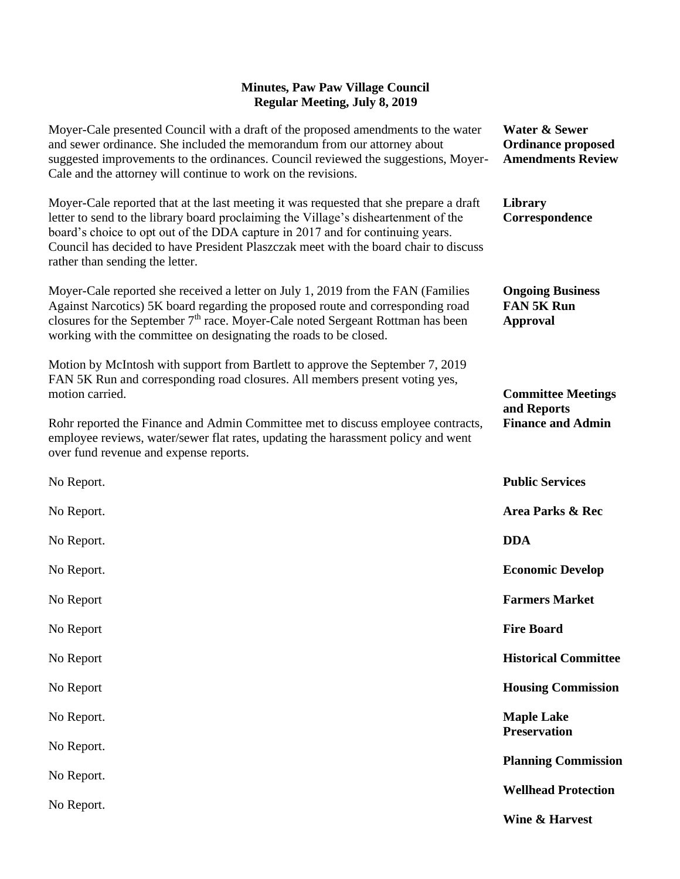## **Minutes, Paw Paw Village Council Regular Meeting, July 8, 2019**

| Moyer-Cale presented Council with a draft of the proposed amendments to the water<br>and sewer ordinance. She included the memorandum from our attorney about<br>suggested improvements to the ordinances. Council reviewed the suggestions, Moyer-<br>Cale and the attorney will continue to work on the revisions.                                                                       | <b>Water &amp; Sewer</b><br><b>Ordinance proposed</b><br><b>Amendments Review</b> |
|--------------------------------------------------------------------------------------------------------------------------------------------------------------------------------------------------------------------------------------------------------------------------------------------------------------------------------------------------------------------------------------------|-----------------------------------------------------------------------------------|
| Moyer-Cale reported that at the last meeting it was requested that she prepare a draft<br>letter to send to the library board proclaiming the Village's disheartenment of the<br>board's choice to opt out of the DDA capture in 2017 and for continuing years.<br>Council has decided to have President Plaszczak meet with the board chair to discuss<br>rather than sending the letter. | Library<br>Correspondence                                                         |
| Moyer-Cale reported she received a letter on July 1, 2019 from the FAN (Families<br>Against Narcotics) 5K board regarding the proposed route and corresponding road<br>closures for the September $7th$ race. Moyer-Cale noted Sergeant Rottman has been<br>working with the committee on designating the roads to be closed.                                                              | <b>Ongoing Business</b><br><b>FAN 5K Run</b><br><b>Approval</b>                   |
| Motion by McIntosh with support from Bartlett to approve the September 7, 2019<br>FAN 5K Run and corresponding road closures. All members present voting yes,<br>motion carried.                                                                                                                                                                                                           | <b>Committee Meetings</b><br>and Reports<br><b>Finance and Admin</b>              |
| Rohr reported the Finance and Admin Committee met to discuss employee contracts,<br>employee reviews, water/sewer flat rates, updating the harassment policy and went<br>over fund revenue and expense reports.                                                                                                                                                                            |                                                                                   |
| No Report.                                                                                                                                                                                                                                                                                                                                                                                 | <b>Public Services</b>                                                            |
| No Report.                                                                                                                                                                                                                                                                                                                                                                                 | Area Parks & Rec                                                                  |
| No Report.                                                                                                                                                                                                                                                                                                                                                                                 | <b>DDA</b>                                                                        |
| No Report.                                                                                                                                                                                                                                                                                                                                                                                 | <b>Economic Develop</b>                                                           |
| No Report                                                                                                                                                                                                                                                                                                                                                                                  | <b>Farmers Market</b>                                                             |
| No Report                                                                                                                                                                                                                                                                                                                                                                                  | <b>Fire Board</b>                                                                 |
| No Report                                                                                                                                                                                                                                                                                                                                                                                  | <b>Historical Committee</b>                                                       |
| No Report                                                                                                                                                                                                                                                                                                                                                                                  | <b>Housing Commission</b>                                                         |
| No Report.                                                                                                                                                                                                                                                                                                                                                                                 | <b>Maple Lake</b><br><b>Preservation</b>                                          |
| No Report.                                                                                                                                                                                                                                                                                                                                                                                 | <b>Planning Commission</b>                                                        |
| No Report.                                                                                                                                                                                                                                                                                                                                                                                 | <b>Wellhead Protection</b>                                                        |
| No Report.                                                                                                                                                                                                                                                                                                                                                                                 | <b>Wine &amp; Harvest</b>                                                         |